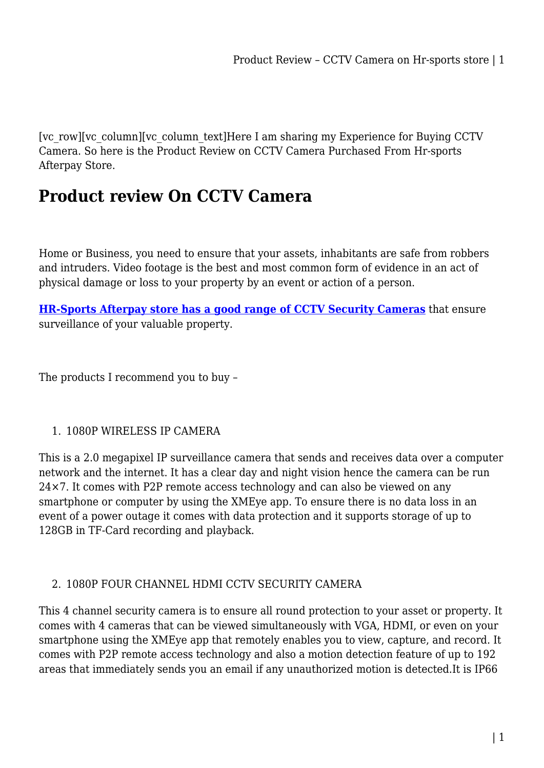[vc\_row][vc\_column][vc\_column\_text]Here I am sharing my Experience for Buying CCTV Camera. So here is the Product Review on CCTV Camera Purchased From Hr-sports Afterpay Store.

## **Product review On CCTV Camera**

Home or Business, you need to ensure that your assets, inhabitants are safe from robbers and intruders. Video footage is the best and most common form of evidence in an act of physical damage or loss to your property by an event or action of a person.

**[HR-Sports Afterpay store has a good range of CCTV Security Cameras](https://www.hr-sports.com.au/audio-video/security-camera/)** that ensure surveillance of your valuable property.

The products I recommend you to buy –

## 1. 1080P WIRELESS IP CAMERA

This is a 2.0 megapixel IP surveillance camera that sends and receives data over a computer network and the internet. It has a clear day and night vision hence the camera can be run 24×7. It comes with P2P remote access technology and can also be viewed on any smartphone or computer by using the XMEye app. To ensure there is no data loss in an event of a power outage it comes with data protection and it supports storage of up to 128GB in TF-Card recording and playback.

## 2. 1080P FOUR CHANNEL HDMI CCTV SECURITY CAMERA

This 4 channel security camera is to ensure all round protection to your asset or property. It comes with 4 cameras that can be viewed simultaneously with VGA, HDMI, or even on your smartphone using the XMEye app that remotely enables you to view, capture, and record. It comes with P2P remote access technology and also a motion detection feature of up to 192 areas that immediately sends you an email if any unauthorized motion is detected.It is IP66